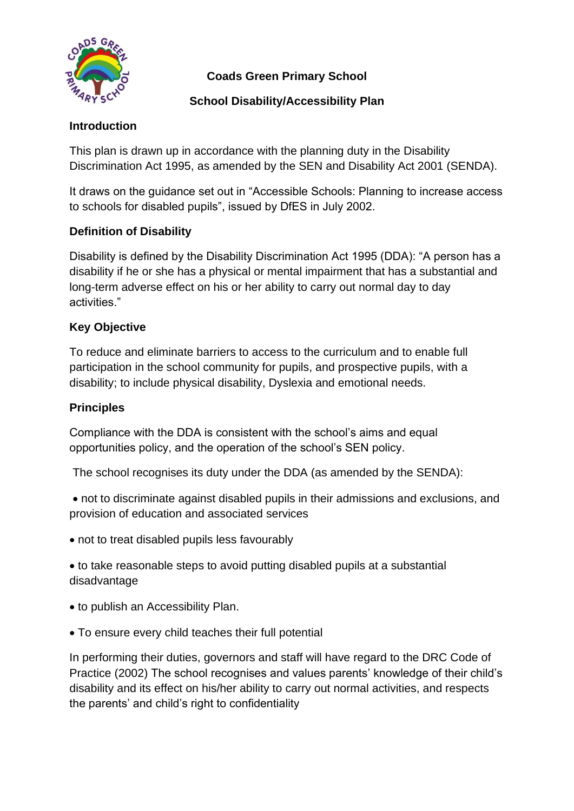

**Coads Green Primary School** 

## **School Disability/Accessibility Plan**

## **Introduction**

This plan is drawn up in accordance with the planning duty in the Disability Discrimination Act 1995, as amended by the SEN and Disability Act 2001 (SENDA).

It draws on the guidance set out in "Accessible Schools: Planning to increase access to schools for disabled pupils", issued by DfES in July 2002.

# **Definition of Disability**

Disability is defined by the Disability Discrimination Act 1995 (DDA): "A person has a disability if he or she has a physical or mental impairment that has a substantial and long-term adverse effect on his or her ability to carry out normal day to day activities."

## **Key Objective**

To reduce and eliminate barriers to access to the curriculum and to enable full participation in the school community for pupils, and prospective pupils, with a disability; to include physical disability, Dyslexia and emotional needs.

### **Principles**

Compliance with the DDA is consistent with the school's aims and equal opportunities policy, and the operation of the school's SEN policy.

The school recognises its duty under the DDA (as amended by the SENDA):

• not to discriminate against disabled pupils in their admissions and exclusions, and provision of education and associated services

• not to treat disabled pupils less favourably

• to take reasonable steps to avoid putting disabled pupils at a substantial disadvantage

- to publish an Accessibility Plan.
- To ensure every child teaches their full potential

In performing their duties, governors and staff will have regard to the DRC Code of Practice (2002) The school recognises and values parents' knowledge of their child's disability and its effect on his/her ability to carry out normal activities, and respects the parents' and child's right to confidentiality